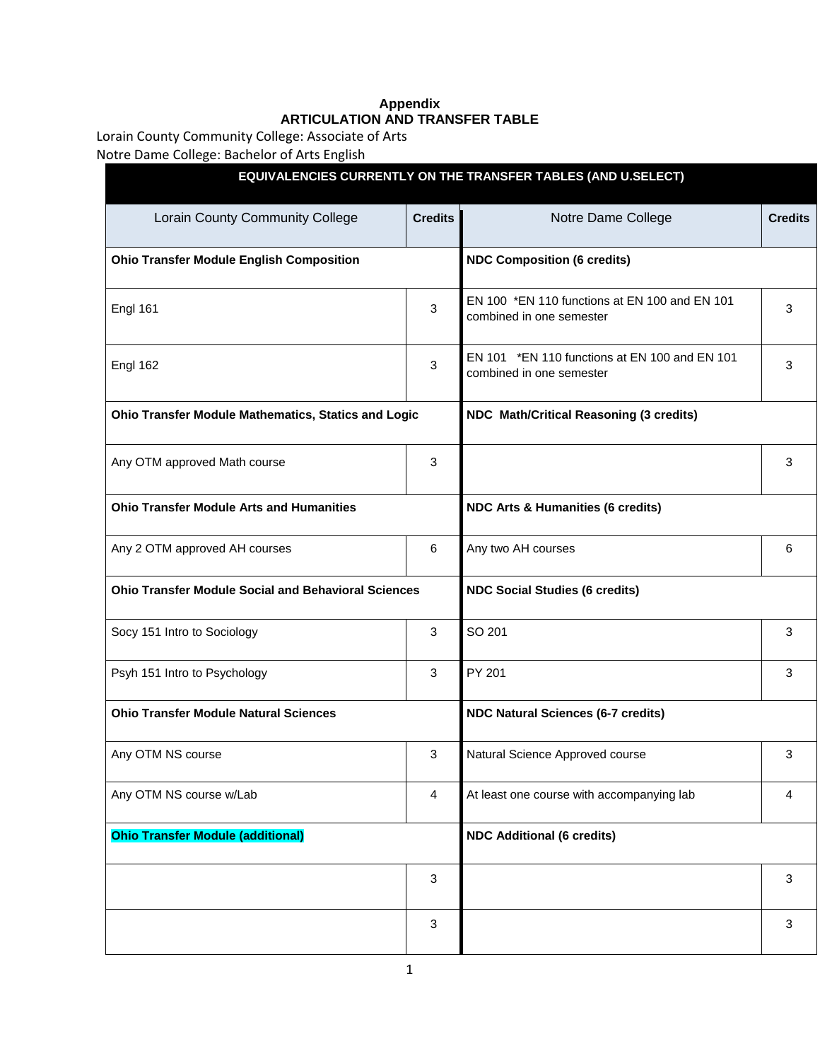## **Appendix ARTICULATION AND TRANSFER TABLE**

Lorain County Community College: Associate of Arts

Notre Dame College: Bachelor of Arts English

|                                                            |                | EQUIVALENCIES CURRENTLY ON THE TRANSFER TABLES (AND U.SELECT)                                                                                                                   |                |  |  |
|------------------------------------------------------------|----------------|---------------------------------------------------------------------------------------------------------------------------------------------------------------------------------|----------------|--|--|
| Lorain County Community College                            | <b>Credits</b> | Notre Dame College                                                                                                                                                              | <b>Credits</b> |  |  |
| <b>Ohio Transfer Module English Composition</b>            |                | <b>NDC Composition (6 credits)</b>                                                                                                                                              |                |  |  |
| <b>Engl 161</b>                                            | 3              | EN 100 *EN 110 functions at EN 100 and EN 101<br>combined in one semester                                                                                                       | 3              |  |  |
| Engl 162                                                   | 3              | EN 101 *EN 110 functions at EN 100 and EN 101<br>combined in one semester                                                                                                       | 3              |  |  |
| Ohio Transfer Module Mathematics, Statics and Logic        |                | NDC Math/Critical Reasoning (3 credits)<br>3<br><b>NDC Arts &amp; Humanities (6 credits)</b><br>Any two AH courses<br>6<br><b>NDC Social Studies (6 credits)</b><br>SO 201<br>3 |                |  |  |
| Any OTM approved Math course                               | 3              |                                                                                                                                                                                 |                |  |  |
| <b>Ohio Transfer Module Arts and Humanities</b>            |                |                                                                                                                                                                                 |                |  |  |
| Any 2 OTM approved AH courses                              | 6              |                                                                                                                                                                                 |                |  |  |
| <b>Ohio Transfer Module Social and Behavioral Sciences</b> |                |                                                                                                                                                                                 |                |  |  |
| Socy 151 Intro to Sociology                                | 3              |                                                                                                                                                                                 |                |  |  |
| Psyh 151 Intro to Psychology                               | 3              | PY 201                                                                                                                                                                          | 3              |  |  |
| <b>Ohio Transfer Module Natural Sciences</b>               |                | <b>NDC Natural Sciences (6-7 credits)</b>                                                                                                                                       |                |  |  |
| Any OTM NS course                                          | 3              | Natural Science Approved course                                                                                                                                                 | 3              |  |  |
| Any OTM NS course w/Lab                                    | 4              | At least one course with accompanying lab                                                                                                                                       | 4              |  |  |
| <b>Ohio Transfer Module (additional)</b>                   |                | <b>NDC Additional (6 credits)</b>                                                                                                                                               |                |  |  |
|                                                            | 3              |                                                                                                                                                                                 | 3              |  |  |
|                                                            | 3              |                                                                                                                                                                                 | 3              |  |  |
|                                                            |                |                                                                                                                                                                                 |                |  |  |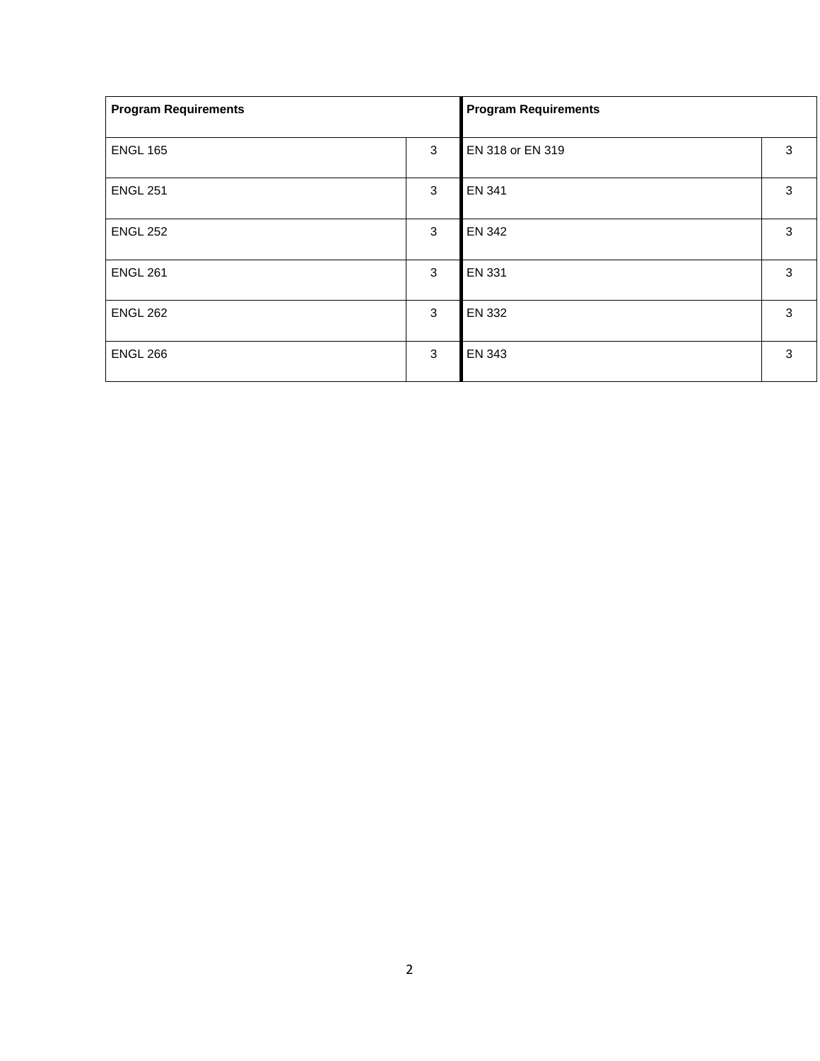| <b>Program Requirements</b> |   | <b>Program Requirements</b> |   |  |
|-----------------------------|---|-----------------------------|---|--|
| <b>ENGL 165</b>             | 3 | EN 318 or EN 319            | 3 |  |
| <b>ENGL 251</b>             | 3 | EN 341                      | 3 |  |
| <b>ENGL 252</b>             | 3 | EN 342                      | 3 |  |
| <b>ENGL 261</b>             | 3 | <b>EN 331</b>               | 3 |  |
| <b>ENGL 262</b>             | 3 | EN 332                      | 3 |  |
| <b>ENGL 266</b>             | 3 | EN 343                      | 3 |  |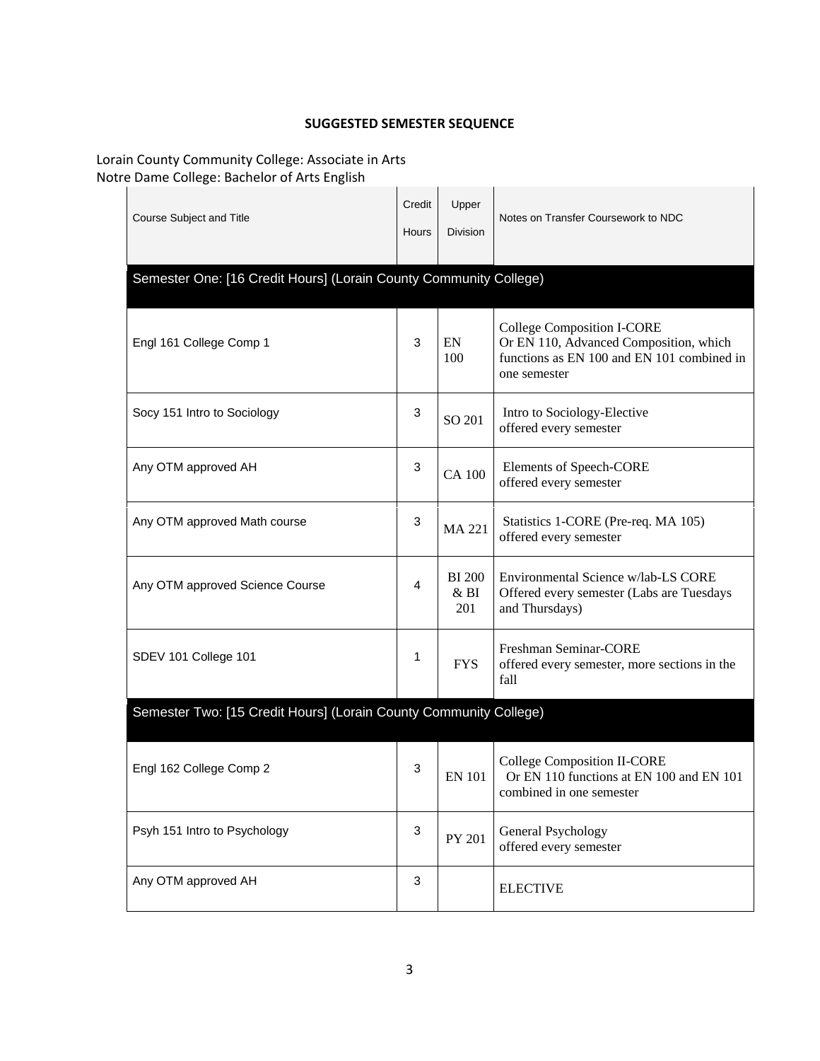## **SUGGESTED SEMESTER SEQUENCE**

## Lorain County Community College: Associate in Arts Notre Dame College: Bachelor of Arts English

| Course Subject and Title                                          | Credit<br>Hours | Upper<br><b>Division</b>    | Notes on Transfer Coursework to NDC                                                                                                       |  |  |
|-------------------------------------------------------------------|-----------------|-----------------------------|-------------------------------------------------------------------------------------------------------------------------------------------|--|--|
| Semester One: [16 Credit Hours] (Lorain County Community College) |                 |                             |                                                                                                                                           |  |  |
| Engl 161 College Comp 1                                           | 3               | EN<br>100                   | <b>College Composition I-CORE</b><br>Or EN 110, Advanced Composition, which<br>functions as EN 100 and EN 101 combined in<br>one semester |  |  |
| Socy 151 Intro to Sociology                                       | 3               | SO 201                      | Intro to Sociology-Elective<br>offered every semester                                                                                     |  |  |
| Any OTM approved AH                                               | 3               | <b>CA 100</b>               | Elements of Speech-CORE<br>offered every semester                                                                                         |  |  |
| Any OTM approved Math course                                      | 3               | <b>MA 221</b>               | Statistics 1-CORE (Pre-req. MA 105)<br>offered every semester                                                                             |  |  |
| Any OTM approved Science Course                                   | 4               | <b>BI</b> 200<br>&BI<br>201 | Environmental Science w/lab-LS CORE<br>Offered every semester (Labs are Tuesdays<br>and Thursdays)                                        |  |  |
| SDEV 101 College 101                                              | 1               | <b>FYS</b>                  | Freshman Seminar-CORE<br>offered every semester, more sections in the<br>fall                                                             |  |  |
| Semester Two: [15 Credit Hours] (Lorain County Community College) |                 |                             |                                                                                                                                           |  |  |
| Engl 162 College Comp 2                                           | 3               | <b>EN 101</b>               | College Composition II-CORE<br>Or EN 110 functions at EN 100 and EN 101<br>combined in one semester                                       |  |  |
| Psyh 151 Intro to Psychology                                      | 3               | PY 201                      | General Psychology<br>offered every semester                                                                                              |  |  |
| Any OTM approved AH                                               | 3               |                             | <b>ELECTIVE</b>                                                                                                                           |  |  |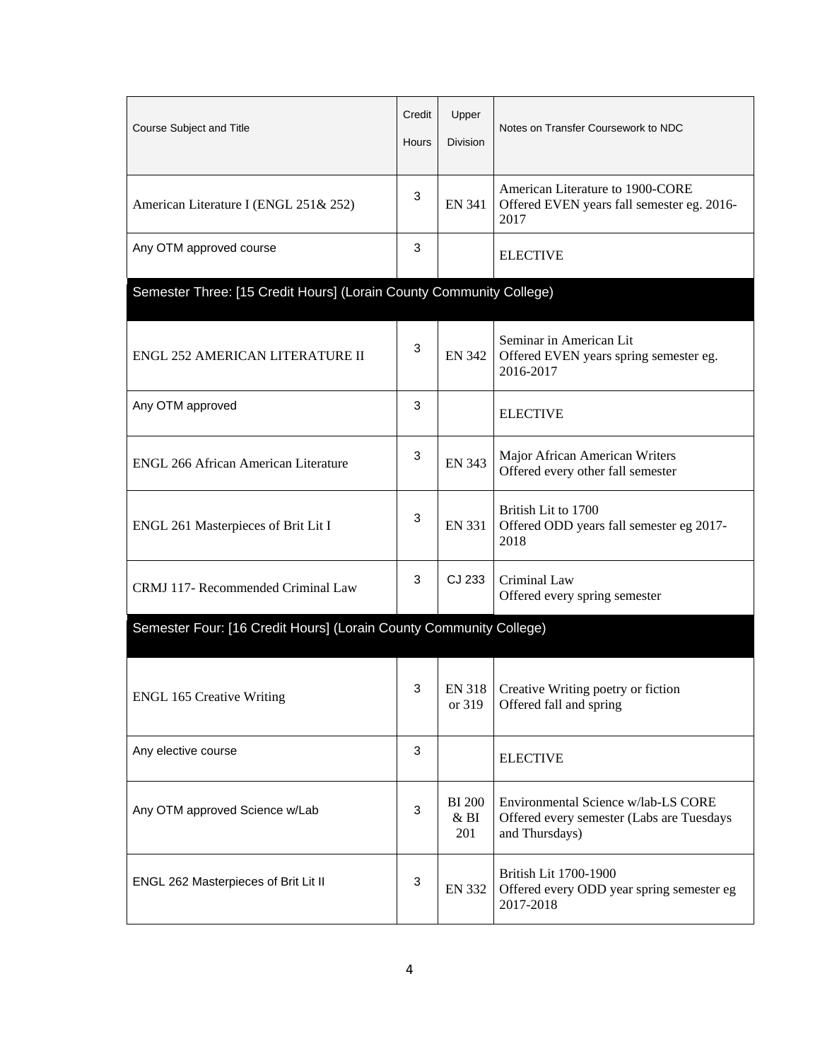| Course Subject and Title                                            | Credit<br>Hours | Upper<br>Division                       | Notes on Transfer Coursework to NDC                                                                |  |  |
|---------------------------------------------------------------------|-----------------|-----------------------------------------|----------------------------------------------------------------------------------------------------|--|--|
| American Literature I (ENGL 251& 252)                               | 3               | <b>EN 341</b>                           | American Literature to 1900-CORE<br>Offered EVEN years fall semester eg. 2016-<br>2017             |  |  |
| Any OTM approved course                                             | $\mathbf{3}$    |                                         | <b>ELECTIVE</b>                                                                                    |  |  |
| Semester Three: [15 Credit Hours] (Lorain County Community College) |                 |                                         |                                                                                                    |  |  |
| ENGL 252 AMERICAN LITERATURE II                                     | 3               | <b>EN 342</b>                           | Seminar in American Lit<br>Offered EVEN years spring semester eg.<br>2016-2017                     |  |  |
| Any OTM approved                                                    | 3               |                                         | <b>ELECTIVE</b>                                                                                    |  |  |
| <b>ENGL 266 African American Literature</b>                         | $\mathbf{3}$    | <b>EN 343</b>                           | Major African American Writers<br>Offered every other fall semester                                |  |  |
| ENGL 261 Masterpieces of Brit Lit I                                 | 3               | <b>EN 331</b>                           | British Lit to 1700<br>Offered ODD years fall semester eg 2017-<br>2018                            |  |  |
| CRMJ 117- Recommended Criminal Law                                  | 3               | CJ 233                                  | Criminal Law<br>Offered every spring semester                                                      |  |  |
| Semester Four: [16 Credit Hours] (Lorain County Community College)  |                 |                                         |                                                                                                    |  |  |
| <b>ENGL 165 Creative Writing</b>                                    | 3               | <b>EN 318</b><br>or 319                 | Creative Writing poetry or fiction<br>Offered fall and spring                                      |  |  |
| Any elective course                                                 | 3               |                                         | <b>ELECTIVE</b>                                                                                    |  |  |
| Any OTM approved Science w/Lab                                      | 3               | <b>BI</b> 200<br>& <sub>BI</sub><br>201 | Environmental Science w/lab-LS CORE<br>Offered every semester (Labs are Tuesdays<br>and Thursdays) |  |  |
| ENGL 262 Masterpieces of Brit Lit II                                | 3               | <b>EN 332</b>                           | British Lit 1700-1900<br>Offered every ODD year spring semester eg<br>2017-2018                    |  |  |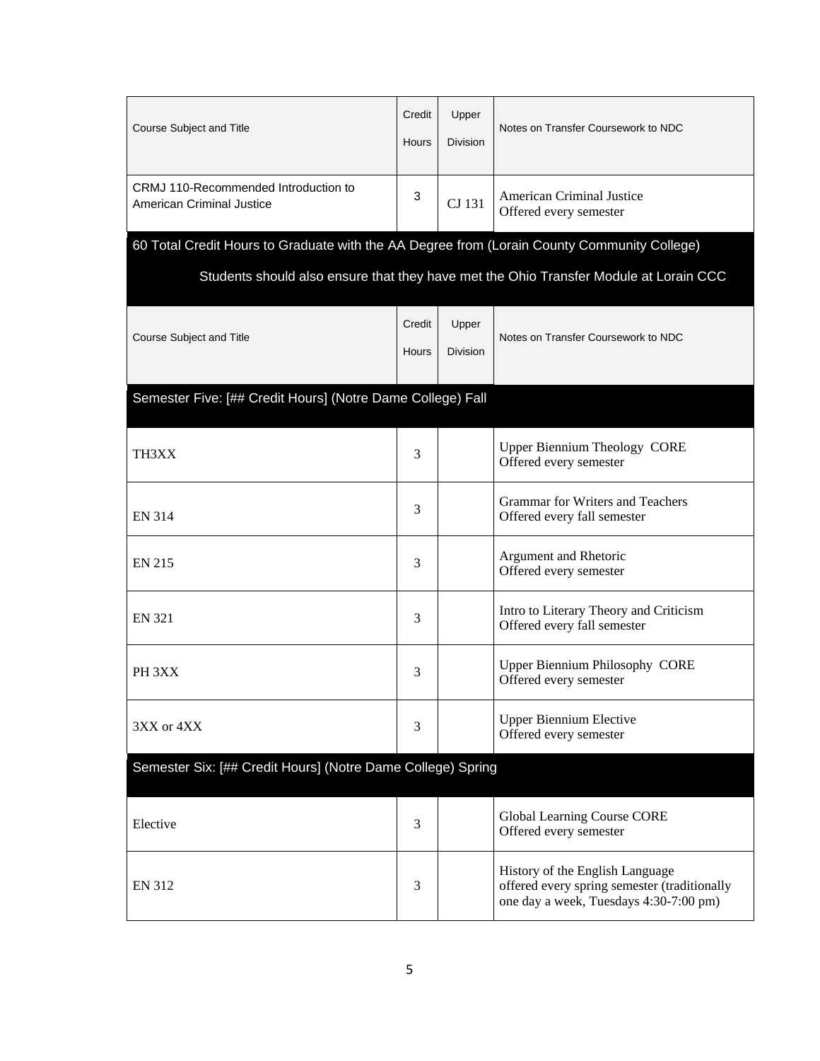| Course Subject and Title                                                                    | Credit<br><b>Hours</b> | Upper<br><b>Division</b> | Notes on Transfer Coursework to NDC                                                                                       |  |
|---------------------------------------------------------------------------------------------|------------------------|--------------------------|---------------------------------------------------------------------------------------------------------------------------|--|
| CRMJ 110-Recommended Introduction to<br>American Criminal Justice                           | 3                      | CJ 131                   | American Criminal Justice<br>Offered every semester                                                                       |  |
| 60 Total Credit Hours to Graduate with the AA Degree from (Lorain County Community College) |                        |                          |                                                                                                                           |  |
|                                                                                             |                        |                          | Students should also ensure that they have met the Ohio Transfer Module at Lorain CCC                                     |  |
| Course Subject and Title                                                                    | Credit<br><b>Hours</b> | Upper<br><b>Division</b> | Notes on Transfer Coursework to NDC                                                                                       |  |
| Semester Five: [## Credit Hours] (Notre Dame College) Fall                                  |                        |                          |                                                                                                                           |  |
| TH3XX                                                                                       | 3                      |                          | <b>Upper Biennium Theology CORE</b><br>Offered every semester                                                             |  |
| <b>EN 314</b>                                                                               | 3                      |                          | <b>Grammar for Writers and Teachers</b><br>Offered every fall semester                                                    |  |
| <b>EN 215</b>                                                                               | 3                      |                          | Argument and Rhetoric<br>Offered every semester                                                                           |  |
| <b>EN 321</b>                                                                               | 3                      |                          | Intro to Literary Theory and Criticism<br>Offered every fall semester                                                     |  |
| PH 3XX                                                                                      | 3                      |                          | <b>Upper Biennium Philosophy CORE</b><br>Offered every semester                                                           |  |
| 3XX or 4XX                                                                                  | 3                      |                          | <b>Upper Biennium Elective</b><br>Offered every semester                                                                  |  |
| Semester Six: [## Credit Hours] (Notre Dame College) Spring                                 |                        |                          |                                                                                                                           |  |
| Elective                                                                                    | 3                      |                          | Global Learning Course CORE<br>Offered every semester                                                                     |  |
| <b>EN 312</b>                                                                               | 3                      |                          | History of the English Language<br>offered every spring semester (traditionally<br>one day a week, Tuesdays 4:30-7:00 pm) |  |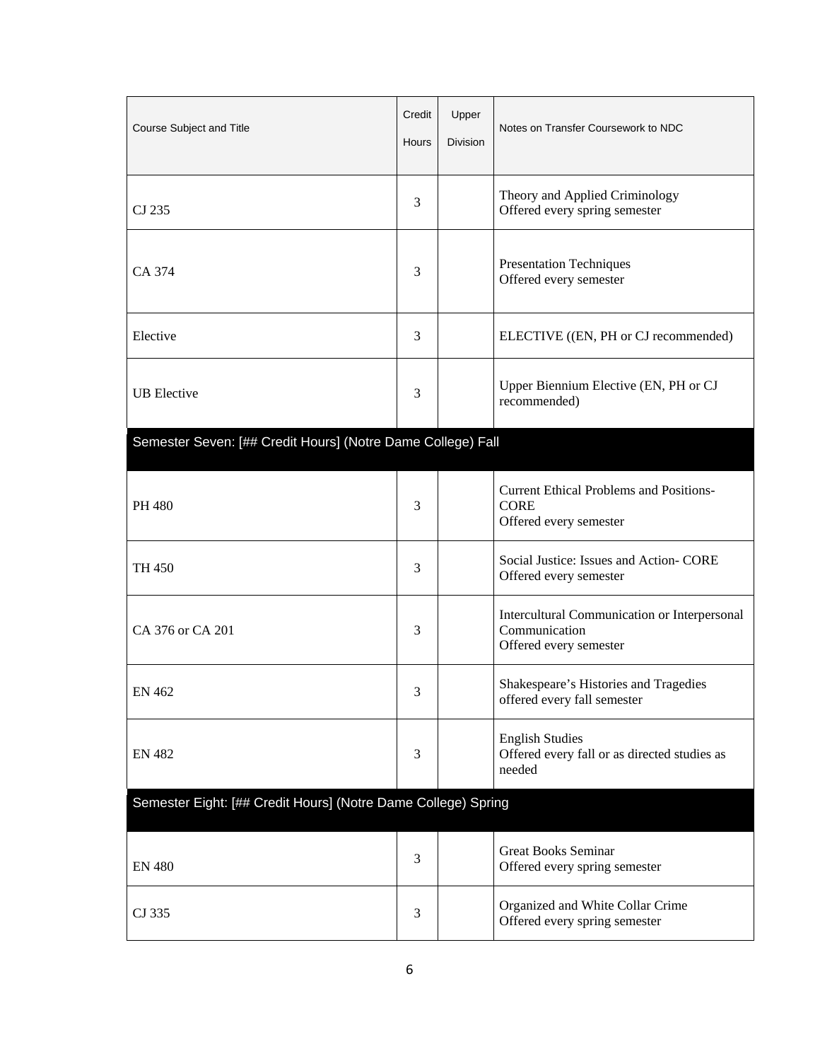| Course Subject and Title                                      | Credit<br>Hours | Upper<br>Division | Notes on Transfer Coursework to NDC                                                     |  |
|---------------------------------------------------------------|-----------------|-------------------|-----------------------------------------------------------------------------------------|--|
| CJ 235                                                        | 3               |                   | Theory and Applied Criminology<br>Offered every spring semester                         |  |
| CA 374                                                        | 3               |                   | <b>Presentation Techniques</b><br>Offered every semester                                |  |
| Elective                                                      | 3               |                   | ELECTIVE ((EN, PH or CJ recommended)                                                    |  |
| <b>UB</b> Elective                                            | 3               |                   | Upper Biennium Elective (EN, PH or CJ<br>recommended)                                   |  |
| Semester Seven: [## Credit Hours] (Notre Dame College) Fall   |                 |                   |                                                                                         |  |
| PH 480                                                        | 3               |                   | <b>Current Ethical Problems and Positions-</b><br><b>CORE</b><br>Offered every semester |  |
| <b>TH 450</b>                                                 | 3               |                   | Social Justice: Issues and Action- CORE<br>Offered every semester                       |  |
| CA 376 or CA 201                                              | 3               |                   | Intercultural Communication or Interpersonal<br>Communication<br>Offered every semester |  |
| <b>EN 462</b>                                                 | 3               |                   | Shakespeare's Histories and Tragedies<br>offered every fall semester                    |  |
| <b>EN 482</b>                                                 | 3               |                   | <b>English Studies</b><br>Offered every fall or as directed studies as<br>needed        |  |
| Semester Eight: [## Credit Hours] (Notre Dame College) Spring |                 |                   |                                                                                         |  |
| <b>EN 480</b>                                                 | 3               |                   | <b>Great Books Seminar</b><br>Offered every spring semester                             |  |
| CJ 335                                                        | 3               |                   | Organized and White Collar Crime<br>Offered every spring semester                       |  |